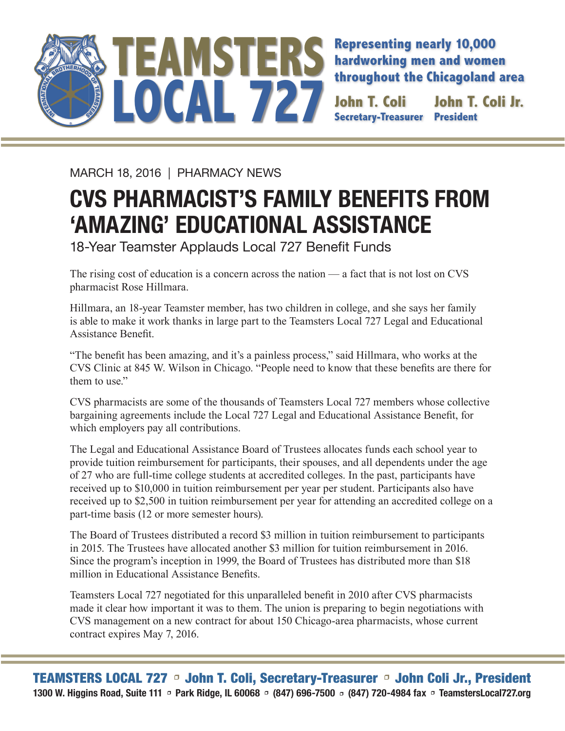

**Representing nearly 10,000 hardworking men and women throughout the Chicagoland area**

**Secretary-Treasurer John T. Coli Jr.** 

MARCH 18, 2016 | PHARMACY NEWS

## **CVS PHARMACIST'S FAMILY BENEFITS FROM 'AMAZING' EDUCATIONAL ASSISTANCE**

18-Year Teamster Applauds Local 727 Benefit Funds

The rising cost of education is a concern across the nation — a fact that is not lost on CVS pharmacist Rose Hillmara.

Hillmara, an 18-year Teamster member, has two children in college, and she says her family is able to make it work thanks in large part to the Teamsters Local 727 Legal and Educational Assistance Benefit.

"The benefit has been amazing, and it's a painless process," said Hillmara, who works at the CVS Clinic at 845 W. Wilson in Chicago. "People need to know that these benefits are there for them to use."

CVS pharmacists are some of the thousands of Teamsters Local 727 members whose collective bargaining agreements include the Local 727 Legal and Educational Assistance Benefit, for which employers pay all contributions.

The Legal and Educational Assistance Board of Trustees allocates funds each school year to provide tuition reimbursement for participants, their spouses, and all dependents under the age of 27 who are full-time college students at accredited colleges. In the past, participants have received up to \$10,000 in tuition reimbursement per year per student. Participants also have received up to \$2,500 in tuition reimbursement per year for attending an accredited college on a part-time basis (12 or more semester hours).

The Board of Trustees distributed a record \$3 million in tuition reimbursement to participants in 2015. The Trustees have allocated another \$3 million for tuition reimbursement in 2016. Since the program's inception in 1999, the Board of Trustees has distributed more than \$18 million in Educational Assistance Benefits.

Teamsters Local 727 negotiated for this unparalleled benefit in 2010 after CVS pharmacists made it clear how important it was to them. The union is preparing to begin negotiations with CVS management on a new contract for about 150 Chicago-area pharmacists, whose current contract expires May 7, 2016.